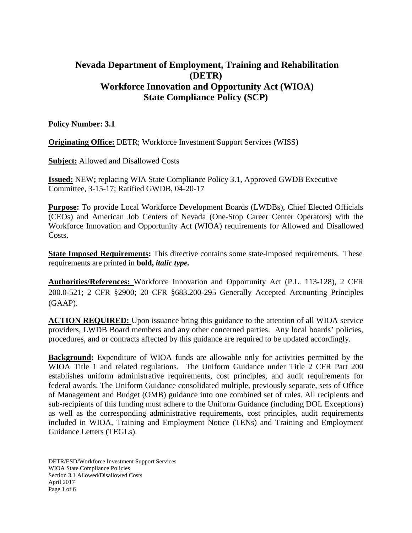# **Nevada Department of Employment, Training and Rehabilitation (DETR) Workforce Innovation and Opportunity Act (WIOA) State Compliance Policy (SCP)**

**Policy Number: 3.1**

**Originating Office:** DETR; Workforce Investment Support Services (WISS)

**Subject:** Allowed and Disallowed Costs

**Issued:** NEW**;** replacing WIA State Compliance Policy 3.1, Approved GWDB Executive Committee, 3-15-17; Ratified GWDB, 04-20-17

**Purpose:** To provide Local Workforce Development Boards (LWDBs), Chief Elected Officials (CEOs) and American Job Centers of Nevada (One-Stop Career Center Operators) with the Workforce Innovation and Opportunity Act (WIOA) requirements for Allowed and Disallowed Costs.

**State Imposed Requirements:** This directive contains some state-imposed requirements. These requirements are printed in **bold,** *italic type.*

**Authorities/References:** Workforce Innovation and Opportunity Act (P.L. 113-128), 2 CFR 200.0-521; 2 CFR §2900; 20 CFR §683.200-295 Generally Accepted Accounting Principles (GAAP).

**ACTION REQUIRED:** Upon issuance bring this guidance to the attention of all WIOA service providers, LWDB Board members and any other concerned parties. Any local boards' policies, procedures, and or contracts affected by this guidance are required to be updated accordingly.

**Background:** Expenditure of WIOA funds are allowable only for activities permitted by the WIOA Title 1 and related regulations. The Uniform Guidance under Title 2 CFR Part 200 establishes uniform administrative requirements, cost principles, and audit requirements for federal awards. The Uniform Guidance consolidated multiple, previously separate, sets of Office of Management and Budget (OMB) guidance into one combined set of rules. All recipients and sub-recipients of this funding must adhere to the Uniform Guidance (including DOL Exceptions) as well as the corresponding administrative requirements, cost principles, audit requirements included in WIOA, Training and Employment Notice (TENs) and Training and Employment Guidance Letters (TEGLs).

DETR/ESD/Workforce Investment Support Services WIOA State Compliance Policies Section 3.1 Allowed/Disallowed Costs April 2017 Page 1 of 6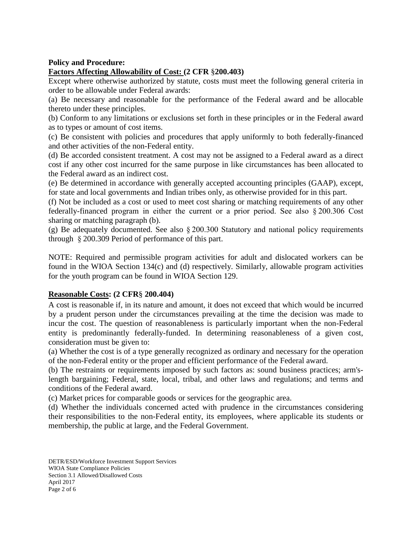#### **Policy and Procedure:**

#### **Factors Affecting Allowability of Cost: (2 CFR** §**200.403)**

Except where otherwise authorized by statute, costs must meet the following general criteria in order to be allowable under Federal awards:

(a) Be necessary and reasonable for the performance of the Federal award and be allocable thereto under these principles.

(b) Conform to any limitations or exclusions set forth in these principles or in the Federal award as to types or amount of cost items.

(c) Be consistent with policies and procedures that apply uniformly to both federally-financed and other activities of the non-Federal entity.

(d) Be accorded consistent treatment. A cost may not be assigned to a Federal award as a direct cost if any other cost incurred for the same purpose in like circumstances has been allocated to the Federal award as an indirect cost.

(e) Be determined in accordance with generally accepted accounting principles (GAAP), except, for state and local governments and Indian tribes only, as otherwise provided for in this part.

(f) Not be included as a cost or used to meet cost sharing or matching requirements of any other federally-financed program in either the current or a prior period. See also § 200.306 Cost sharing or matching paragraph (b).

(g) Be adequately documented. See also § 200.300 Statutory and national policy requirements through § 200.309 Period of performance of this part.

NOTE: Required and permissible program activities for adult and dislocated workers can be found in the WIOA Section 134(c) and (d) respectively. Similarly, allowable program activities for the youth program can be found in WIOA Section 129.

## **Reasonable Costs: (2 CFR**§ **200.404)**

A cost is reasonable if, in its nature and amount, it does not exceed that which would be incurred by a prudent person under the circumstances prevailing at the time the decision was made to incur the cost. The question of reasonableness is particularly important when the non-Federal entity is predominantly federally-funded. In determining reasonableness of a given cost, consideration must be given to:

(a) Whether the cost is of a type generally recognized as ordinary and necessary for the operation of the non-Federal entity or the proper and efficient performance of the Federal award.

(b) The restraints or requirements imposed by such factors as: sound business practices; arm'slength bargaining; Federal, state, local, tribal, and other laws and regulations; and terms and conditions of the Federal award.

(c) Market prices for comparable goods or services for the geographic area.

(d) Whether the individuals concerned acted with prudence in the circumstances considering their responsibilities to the non-Federal entity, its employees, where applicable its students or membership, the public at large, and the Federal Government.

DETR/ESD/Workforce Investment Support Services WIOA State Compliance Policies Section 3.1 Allowed/Disallowed Costs April 2017 Page 2 of 6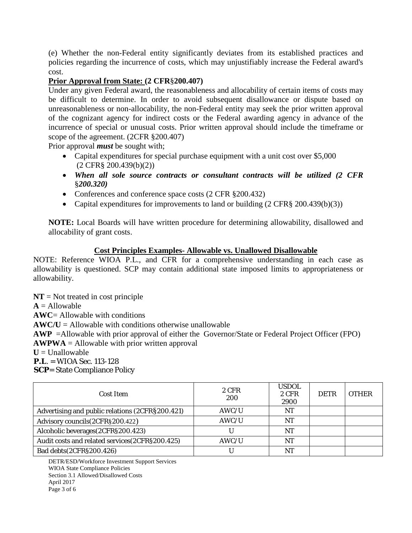(e) Whether the non-Federal entity significantly deviates from its established practices and policies regarding the incurrence of costs, which may unjustifiably increase the Federal award's cost.

## **Prior Approval from State: (2 CFR**§**200.407)**

Under any given Federal award, the reasonableness and allocability of certain items of costs may be difficult to determine. In order to avoid subsequent disallowance or dispute based on unreasonableness or non-allocability, the non-Federal entity may seek the prior written approval of the cognizant agency for indirect costs or the Federal awarding agency in advance of the incurrence of special or unusual costs. Prior written approval should include the timeframe or scope of the agreement. (2CFR §200.407)

Prior approval *must* be sought with;

- Capital expenditures for special purchase equipment with a unit cost over \$5,000 (2 CFR§ 200.439(b)(2))
- *When all sole source contracts or consultant contracts will be utilized (2 CFR* §*200.320)*
- Conferences and conference space costs (2 CFR §200.432)
- Capital expenditures for improvements to land or building (2 CFR§ 200.439(b)(3))

**NOTE:** Local Boards will have written procedure for determining allowability, disallowed and allocability of grant costs.

## **Cost Principles Examples- Allowable vs. Unallowed Disallowable**

NOTE: Reference WIOA P.L., and CFR for a comprehensive understanding in each case as allowability is questioned. SCP may contain additional state imposed limits to appropriateness or allowability.

**NT** = Not treated in cost principle

 $A =$  Allowable

**AWC**= Allowable with conditions

 $AWC/U =$  Allowable with conditions otherwise unallowable

**AWP** =Allowable with prior approval of either the Governor/State or Federal Project Officer (FPO)  $AWPWA = Allowable with prior written approval$ 

- $U =$  Unallowable
- **P.L**. = WIOA Sec. 113-128

**SCP**= State Compliance Policy

| Cost Item                                       | 2 CFR<br>200 | <b>USDOL</b><br>2 CFR<br>2900 | <b>DETR</b> | <b>OTHER</b> |
|-------------------------------------------------|--------------|-------------------------------|-------------|--------------|
| Advertising and public relations (2CFR§200.421) | AWC/U        | NΊ                            |             |              |
| Advisory councils (2CFR§200.422)                | AWC/U        | NΊ                            |             |              |
| Alcoholic beverages (2CFR§200.423)              | U            | NT                            |             |              |
| Audit costs and related services (2CFR§200.425) | AWC/U        | <b>NT</b>                     |             |              |
| Bad debts (2CFR§200.426)                        |              | <b>NT</b>                     |             |              |

DETR/ESD/Workforce Investment Support Services WIOA State Compliance Policies Section 3.1 Allowed/Disallowed Costs April 2017 Page 3 of 6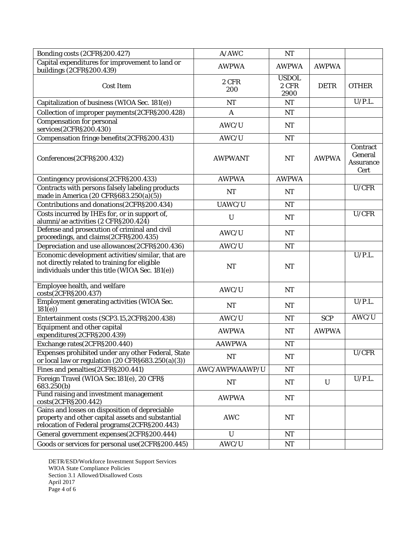| Bonding costs (2CFR§200.427)                                                                                                                          | A/AWC          | NT                            |              |                                                 |
|-------------------------------------------------------------------------------------------------------------------------------------------------------|----------------|-------------------------------|--------------|-------------------------------------------------|
| Capital expenditures for improvement to land or<br>buildings (2CFR§200.439)                                                                           | <b>AWPWA</b>   | <b>AWPWA</b>                  | <b>AWPWA</b> |                                                 |
| <b>Cost Item</b>                                                                                                                                      | 2 CFR<br>200   | <b>USDOL</b><br>2 CFR<br>2900 | <b>DETR</b>  | <b>OTHER</b>                                    |
| Capitalization of business (WIOA Sec. 181(e))                                                                                                         | <b>NT</b>      | NT                            |              | U/P.L.                                          |
| Collection of improper payments (2CFR§200.428)                                                                                                        | $\mathbf{A}$   | <b>NT</b>                     |              |                                                 |
| <b>Compensation for personal</b><br>services(2CFR§200.430)                                                                                            | AWC/U          | NT                            |              |                                                 |
| Compensation fringe benefits (2CFR§200.431)                                                                                                           | AWC/U          | NT                            |              |                                                 |
| Conferences(2CFR§200.432)                                                                                                                             | <b>AWPWANT</b> | NT                            | <b>AWPWA</b> | Contract<br>General<br><b>Assurance</b><br>Cert |
| Contingency provisions (2CFR§200.433)                                                                                                                 | <b>AWPWA</b>   | <b>AWPWA</b>                  |              |                                                 |
| Contracts with persons falsely labeling products<br>made in America (20 CFR§683.250(a)(5))                                                            | <b>NT</b>      | <b>NT</b>                     |              | U/CFR                                           |
| Contributions and donations (2CFR§200.434)                                                                                                            | UAWC/U         | <b>NT</b>                     |              |                                                 |
| Costs incurred by IHEs for, or in support of,<br>alumni/ae activities (2 CFR§200.424)                                                                 | $\mathbf U$    | NT                            |              | U/CFR                                           |
| Defense and prosecution of criminal and civil<br>proceedings, and claims (2CFR§200.435)                                                               | AWC/U          | <b>NT</b>                     |              |                                                 |
| Depreciation and use allowances(2CFR§200.436)                                                                                                         | AWC/U          | <b>NT</b>                     |              |                                                 |
| Economic development activities/similar, that are<br>not directly related to training for eligible<br>individuals under this title (WIOA Sec. 181(e)) | <b>NT</b>      | NT                            |              | U/P.L.                                          |
| Employee health, and welfare<br>costs(2CFR§200.437)                                                                                                   | AWC/U          | <b>NT</b>                     |              |                                                 |
| Employment generating activities (WIOA Sec.<br>181(e)                                                                                                 | <b>NT</b>      | NT                            |              | U/P.L.                                          |
| Entertainment costs (SCP3.15,2CFR§200.438)                                                                                                            | AWC/U          | NT                            | <b>SCP</b>   | AWC/U                                           |
| Equipment and other capital<br>expenditures(2CFR§200.439)                                                                                             | <b>AWPWA</b>   | NT                            | <b>AWPWA</b> |                                                 |
| Exchange rates(2CFR§200.440)                                                                                                                          | <b>AAWPWA</b>  | NT                            |              |                                                 |
| Expenses prohibited under any other Federal, State<br>or local law or regulation (20 CFR§683.250(a)(3))                                               | <b>NT</b>      | NT                            |              | U/CFR                                           |
| Fines and penalties (2CFR§200.441)                                                                                                                    | AWC/AWPWAAWP/U | $\bf NT$                      |              |                                                 |
| Foreign Travel (WIOA Sec.181(e), 20 CFR§<br>683.250(b)                                                                                                | <b>NT</b>      | NT                            | $\mathbf U$  | U/P.L.                                          |
| Fund raising and investment management<br>costs(2CFR§200.442)                                                                                         | <b>AWPWA</b>   | NT                            |              |                                                 |
| Gains and losses on disposition of depreciable<br>property and other capital assets and substantial<br>relocation of Federal programs(2CFR§200.443)   | <b>AWC</b>     | NT                            |              |                                                 |
| General government expenses(2CFR§200.444)                                                                                                             | U              | NT                            |              |                                                 |
| Goods or services for personal use(2CFR§200.445)                                                                                                      | AWC/U          | NT                            |              |                                                 |

DETR/ESD/Workforce Investment Support Services WIOA State Compliance Policies Section 3.1 Allowed/Disallowed Costs April 2017 Page 4 of 6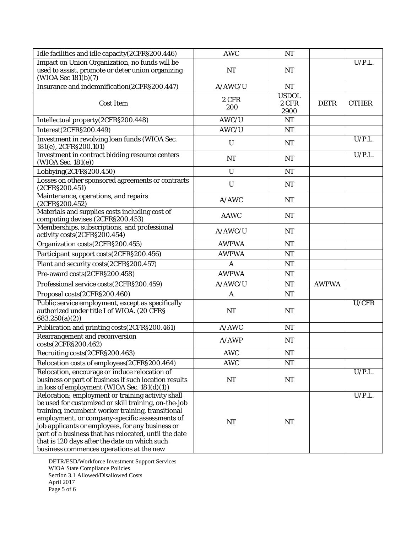| Idle facilities and idle capacity (2CFR§200.446)                                                                                                                                                                                                                                                                                                                                                                           | <b>AWC</b>   | NT           |              |                     |
|----------------------------------------------------------------------------------------------------------------------------------------------------------------------------------------------------------------------------------------------------------------------------------------------------------------------------------------------------------------------------------------------------------------------------|--------------|--------------|--------------|---------------------|
| Impact on Union Organization, no funds will be                                                                                                                                                                                                                                                                                                                                                                             |              |              |              | U/P.L.              |
| used to assist, promote or deter union organizing<br>(WIOA Sec 181(b)(7)                                                                                                                                                                                                                                                                                                                                                   | NT           | NT           |              |                     |
| Insurance and indemnification(2CFR§200.447)                                                                                                                                                                                                                                                                                                                                                                                | A/AWC/U      | <b>NT</b>    |              |                     |
|                                                                                                                                                                                                                                                                                                                                                                                                                            |              | <b>USDOL</b> |              |                     |
| <b>Cost Item</b>                                                                                                                                                                                                                                                                                                                                                                                                           | 2 CFR        | 2 CFR        | <b>DETR</b>  | <b>OTHER</b>        |
|                                                                                                                                                                                                                                                                                                                                                                                                                            | 200          | 2900         |              |                     |
| Intellectual property(2CFR§200.448)                                                                                                                                                                                                                                                                                                                                                                                        | AWC/U        | $\bf NT$     |              |                     |
| Interest(2CFR§200.449)                                                                                                                                                                                                                                                                                                                                                                                                     | AWC/U        | NT           |              |                     |
| Investment in revolving loan funds (WIOA Sec.<br>181(e), 2CFR§200.101)                                                                                                                                                                                                                                                                                                                                                     | U            | NT           |              | U/P.L.              |
| Investment in contract bidding resource centers<br>(WIOA Sec. 181(e))                                                                                                                                                                                                                                                                                                                                                      | <b>NT</b>    | NT           |              | $\overline{U/P.L.}$ |
| Lobbying(2CFR§200.450)                                                                                                                                                                                                                                                                                                                                                                                                     | $\mathbf U$  | <b>NT</b>    |              |                     |
| Losses on other sponsored agreements or contracts                                                                                                                                                                                                                                                                                                                                                                          | $\mathbf U$  | NT           |              |                     |
| (2CFR§200.451)                                                                                                                                                                                                                                                                                                                                                                                                             |              |              |              |                     |
| Maintenance, operations, and repairs<br>(2CFR§200.452)                                                                                                                                                                                                                                                                                                                                                                     | A/AWC        | NT           |              |                     |
| Materials and supplies costs including cost of<br>computing devises (2CFR§200.453)                                                                                                                                                                                                                                                                                                                                         | <b>AAWC</b>  | NT           |              |                     |
| Memberships, subscriptions, and professional<br>activity costs(2CFR§200.454)                                                                                                                                                                                                                                                                                                                                               | A/AWC/U      | NT           |              |                     |
| Organization costs (2CFR§200.455)                                                                                                                                                                                                                                                                                                                                                                                          | <b>AWPWA</b> | <b>NT</b>    |              |                     |
| Participant support costs(2CFR§200.456)                                                                                                                                                                                                                                                                                                                                                                                    | <b>AWPWA</b> | NT           |              |                     |
| Plant and security costs(2CFR§200.457)                                                                                                                                                                                                                                                                                                                                                                                     | A            | <b>NT</b>    |              |                     |
| Pre-award costs(2CFR§200.458)                                                                                                                                                                                                                                                                                                                                                                                              | <b>AWPWA</b> | NT           |              |                     |
| Professional service costs(2CFR§200.459)                                                                                                                                                                                                                                                                                                                                                                                   | A/AWC/U      | <b>NT</b>    | <b>AWPWA</b> |                     |
| Proposal costs(2CFR§200.460)                                                                                                                                                                                                                                                                                                                                                                                               | A            | <b>NT</b>    |              |                     |
| Public service employment, except as specifically<br>authorized under title I of WIOA. (20 CFR§<br>683.250(a)(2)                                                                                                                                                                                                                                                                                                           | <b>NT</b>    | NT           |              | U/CFR               |
| Publication and printing costs(2CFR§200.461)                                                                                                                                                                                                                                                                                                                                                                               | A/AWC        | NT           |              |                     |
| <b>Rearrangement and reconversion</b><br>costs(2CFR§200.462)                                                                                                                                                                                                                                                                                                                                                               | A/AWP        | NT           |              |                     |
| Recruiting costs (2CFR§200.463)                                                                                                                                                                                                                                                                                                                                                                                            | <b>AWC</b>   | NT           |              |                     |
| Relocation costs of employees(2CFR§200.464)                                                                                                                                                                                                                                                                                                                                                                                | <b>AWC</b>   | NT           |              |                     |
| Relocation, encourage or induce relocation of<br>business or part of business if such location results<br>in loss of employment (WIOA Sec. 181(d)(1))                                                                                                                                                                                                                                                                      | NT           | NT           |              | U/P.L.              |
| Relocation; employment or training activity shall<br>be used for customized or skill training, on-the-job<br>training, incumbent worker training, transitional<br>employment, or company-specific assessments of<br>job applicants or employees, for any business or<br>part of a business that has relocated, until the date<br>that is 120 days after the date on which such<br>business commences operations at the new | NT           | NT           |              | U/P.L.              |

DETR/ESD/Workforce Investment Support Services WIOA State Compliance Policies Section 3.1 Allowed/Disallowed Costs April 2017 Page 5 of 6